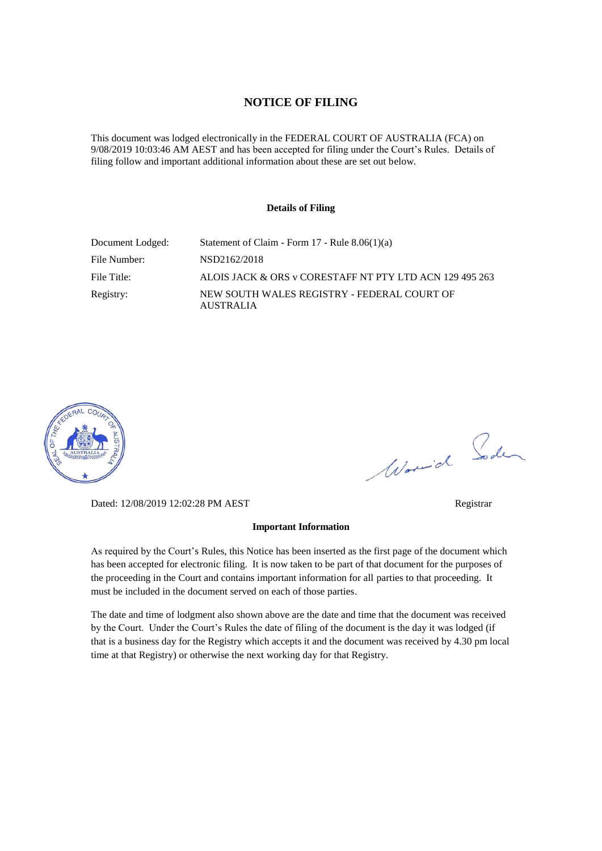### **NOTICE OF FILING**

This document was lodged electronically in the FEDERAL COURT OF AUSTRALIA (FCA) on 9/08/2019 10:03:46 AM AEST and has been accepted for filing under the Court's Rules. Details of filing follow and important additional information about these are set out below.

### **Details of Filing**

| Document Lodged: | Statement of Claim - Form $17$ - Rule $8.06(1)(a)$              |
|------------------|-----------------------------------------------------------------|
| File Number:     | NSD2162/2018                                                    |
| File Title:      | ALOIS JACK & ORS v CORESTAFF NT PTY LTD ACN 129 495 263         |
| Registry:        | NEW SOUTH WALES REGISTRY - FEDERAL COURT OF<br><b>AUSTRALIA</b> |



Worwich Soden

Dated: 12/08/2019 12:02:28 PM AEST Registrar

### **Important Information**

As required by the Court's Rules, this Notice has been inserted as the first page of the document which has been accepted for electronic filing. It is now taken to be part of that document for the purposes of the proceeding in the Court and contains important information for all parties to that proceeding. It must be included in the document served on each of those parties.

The date and time of lodgment also shown above are the date and time that the document was received by the Court. Under the Court's Rules the date of filing of the document is the day it was lodged (if that is a business day for the Registry which accepts it and the document was received by 4.30 pm local time at that Registry) or otherwise the next working day for that Registry.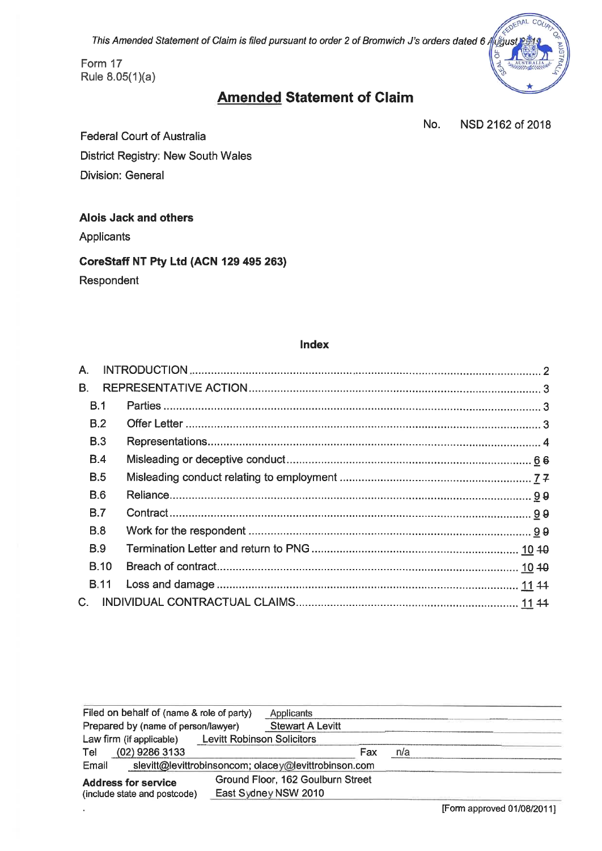This Amended Statement of Claim is filed pursuant to order 2 of Bromwich J's orders dated 6 /



# **Amended Statement of Claim**

No. NSD 2162 of 2018

**Federal Court of Australia** District Registry: New South Wales **Division: General** 

### **Alois Jack and others**

Applicants

# CoreStaff NT Pty Ltd (ACN 129 495 263)

Respondent

### Index

| A.          |  |  |  |
|-------------|--|--|--|
| <b>B.</b>   |  |  |  |
| B.1         |  |  |  |
| B.2         |  |  |  |
| B.3         |  |  |  |
| B.4         |  |  |  |
| B.5         |  |  |  |
| <b>B.6</b>  |  |  |  |
| B.7         |  |  |  |
| B.8         |  |  |  |
| B.9         |  |  |  |
| <b>B.10</b> |  |  |  |
| <b>B.11</b> |  |  |  |
| $C_{1}$     |  |  |  |

| Filed on behalf of (name & role of party)                     |  | Applicants                        |     |     |  |  |  |
|---------------------------------------------------------------|--|-----------------------------------|-----|-----|--|--|--|
| Prepared by (name of person/lawyer)                           |  | <b>Stewart A Levitt</b>           |     |     |  |  |  |
| <b>Levitt Robinson Solicitors</b><br>Law firm (if applicable) |  |                                   |     |     |  |  |  |
| (02) 9286 3133<br>Tel                                         |  |                                   | Fax | n/a |  |  |  |
| slevitt@levittrobinsoncom; olacey@levittrobinson.com<br>Email |  |                                   |     |     |  |  |  |
| <b>Address for service</b>                                    |  | Ground Floor, 162 Goulburn Street |     |     |  |  |  |
| (include state and postcode)                                  |  | East Sydney NSW 2010              |     |     |  |  |  |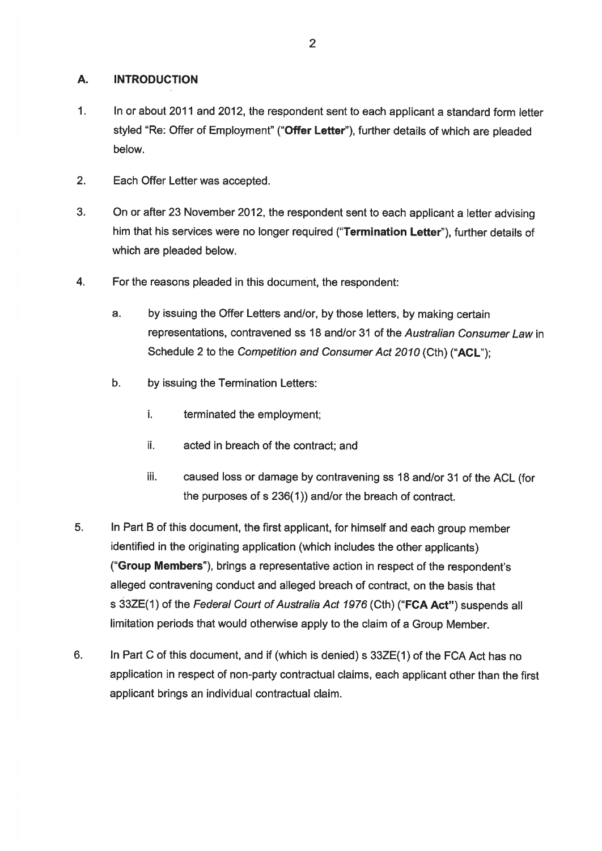#### **A. INTRODUCTION**

- $1.$ In or about 2011 and 2012, the respondent sent to each applicant a standard form letter styled "Re: Offer of Employment" ("Offer Letter"), further details of which are pleaded below.
- $2.$ Each Offer Letter was accepted.
- 3. On or after 23 November 2012, the respondent sent to each applicant a letter advising him that his services were no longer required ("Termination Letter"), further details of which are pleaded below.
- $4.$ For the reasons pleaded in this document, the respondent:
	- a. by issuing the Offer Letters and/or, by those letters, by making certain representations, contravened ss 18 and/or 31 of the Australian Consumer Law in Schedule 2 to the Competition and Consumer Act 2010 (Cth) ("ACL");
	- b. by issuing the Termination Letters:
		- i. terminated the employment;
		- ii. acted in breach of the contract; and
		- iii. caused loss or damage by contravening ss 18 and/or 31 of the ACL (for the purposes of s 236(1)) and/or the breach of contract.
- 5. In Part B of this document, the first applicant, for himself and each group member identified in the originating application (which includes the other applicants) ("Group Members"), brings a representative action in respect of the respondent's alleged contravening conduct and alleged breach of contract, on the basis that s 33ZE(1) of the Federal Court of Australia Act 1976 (Cth) ("FCA Act") suspends all limitation periods that would otherwise apply to the claim of a Group Member.
- 6. In Part C of this document, and if (which is denied) s 33ZE(1) of the FCA Act has no application in respect of non-party contractual claims, each applicant other than the first applicant brings an individual contractual claim.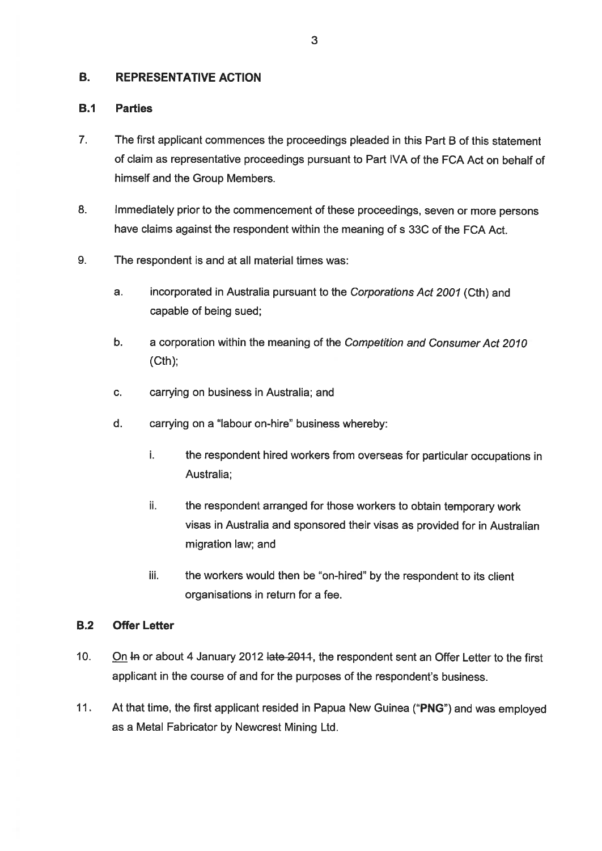#### **B. REPRESENTATIVE ACTION**

#### $B.1$ **Parties**

- $\overline{7}$ The first applicant commences the proceedings pleaded in this Part B of this statement of claim as representative proceedings pursuant to Part IVA of the FCA Act on behalf of himself and the Group Members.
- 8. Immediately prior to the commencement of these proceedings, seven or more persons have claims against the respondent within the meaning of s 33C of the FCA Act.
- 9. The respondent is and at all material times was:
	- a. incorporated in Australia pursuant to the Corporations Act 2001 (Cth) and capable of being sued;
	- b. a corporation within the meaning of the Competition and Consumer Act 2010  $(Cth)$
	- $\mathbf{C}$ . carrying on business in Australia; and
	- $d_{\cdot}$ carrying on a "labour on-hire" business whereby:
		- i. the respondent hired workers from overseas for particular occupations in Australia:
		- ii. the respondent arranged for those workers to obtain temporary work visas in Australia and sponsored their visas as provided for in Australian migration law; and
		- the workers would then be "on-hired" by the respondent to its client iii. organisations in return for a fee.

#### $B.2$ **Offer Letter**

- $10.$ On In or about 4 January 2012 late 2014, the respondent sent an Offer Letter to the first applicant in the course of and for the purposes of the respondent's business.
- $11.$ At that time, the first applicant resided in Papua New Guinea ("PNG") and was employed as a Metal Fabricator by Newcrest Mining Ltd.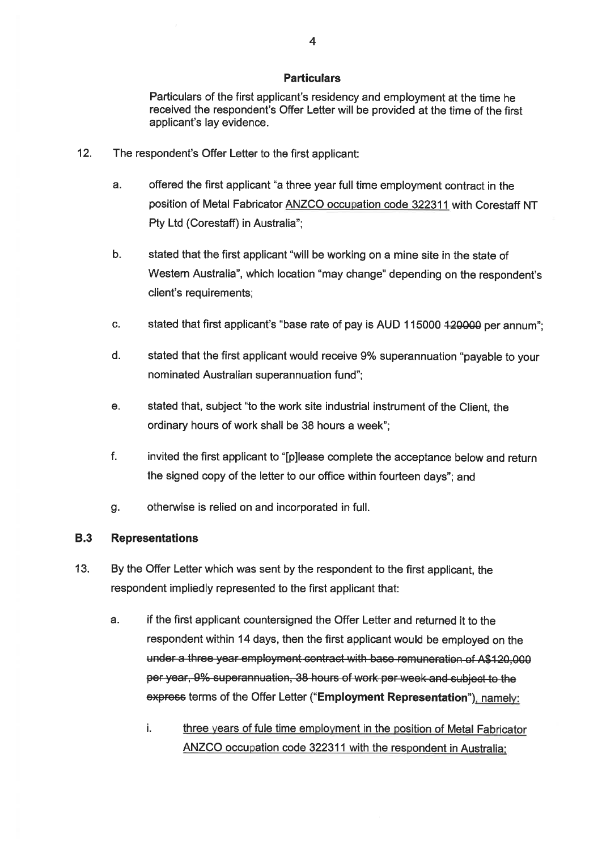### **Particulars**

Particulars of the first applicant's residency and employment at the time he received the respondent's Offer Letter will be provided at the time of the first applicant's lay evidence.

- $12.$ The respondent's Offer Letter to the first applicant:
	- offered the first applicant "a three year full time employment contract in the a. position of Metal Fabricator ANZCO occupation code 322311 with Corestaff NT Pty Ltd (Corestaff) in Australia";
	- $b.$ stated that the first applicant "will be working on a mine site in the state of Western Australia", which location "may change" depending on the respondent's client's requirements;
	- stated that first applicant's "base rate of pay is AUD 115000 420000 per annum";  $\mathbf{C}$ .
	- $d$ . stated that the first applicant would receive 9% superannuation "payable to your nominated Australian superannuation fund";
	- $\mathbf{e}$ . stated that, subject "to the work site industrial instrument of the Client, the ordinary hours of work shall be 38 hours a week";
	- $f_{\rm{L}}$ invited the first applicant to "[p]lease complete the acceptance below and return the signed copy of the letter to our office within fourteen days": and
	- otherwise is relied on and incorporated in full. g.

#### **B.3 Representations**

- $13.$ By the Offer Letter which was sent by the respondent to the first applicant, the respondent impliedly represented to the first applicant that:
	- $\mathbf{a}$ if the first applicant countersigned the Offer Letter and returned it to the respondent within 14 days, then the first applicant would be employed on the under a three year employment contract with base remuneration of A\$120,000 per year, 9% superannuation, 38 hours of work per week and subject to the express terms of the Offer Letter ("Employment Representation"), namely:
		- i. three years of fule time employment in the position of Metal Fabricator ANZCO occupation code 322311 with the respondent in Australia: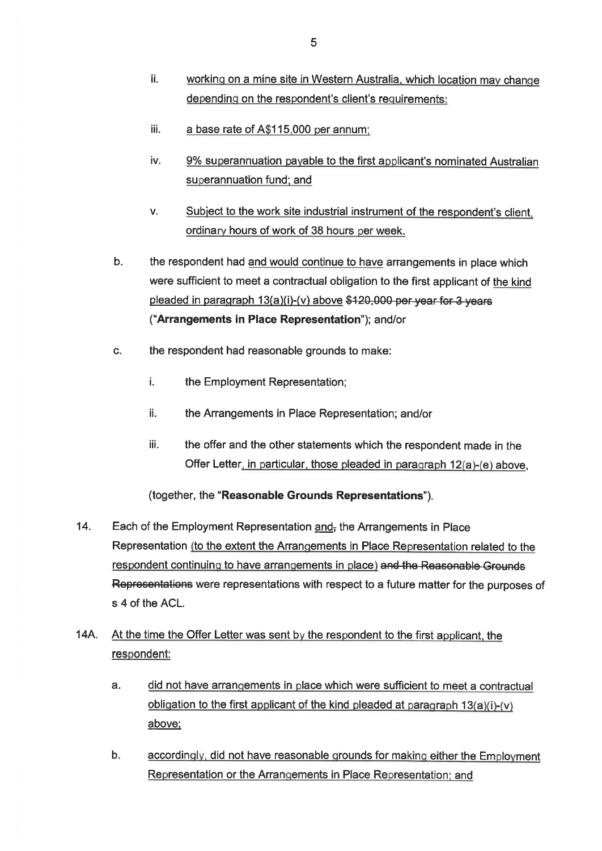- ii. working on a mine site in Western Australia, which location may change depending on the respondent's client's requirements:
- iii. a base rate of A\$115,000 per annum;
- iv. 9% superannuation payable to the first applicant's nominated Australian superannuation fund; and
- V. Subject to the work site industrial instrument of the respondent's client. ordinary hours of work of 38 hours per week.
- $b.$ the respondent had and would continue to have arrangements in place which were sufficient to meet a contractual obligation to the first applicant of the kind pleaded in paragraph 13(a)(i)-(v) above \$120,000 per year for 3 years ("Arrangements in Place Representation"); and/or
- C. the respondent had reasonable grounds to make:
	- i. the Employment Representation;
	- ii. the Arrangements in Place Representation; and/or
	- iii. the offer and the other statements which the respondent made in the Offer Letter, in particular, those pleaded in paragraph 12(a)-(e) above.

### (together, the "Reasonable Grounds Representations").

- 14. Each of the Employment Representation and, the Arrangements in Place Representation (to the extent the Arrangements in Place Representation related to the respondent continuing to have arrangements in place) and the Reasonable Grounds Representations were representations with respect to a future matter for the purposes of s 4 of the ACL.
- 14A. At the time the Offer Letter was sent by the respondent to the first applicant, the respondent:
	- a. did not have arrangements in place which were sufficient to meet a contractual obligation to the first applicant of the kind pleaded at paragraph  $13(a)(i)-(v)$ above;
	- $b.$ accordingly, did not have reasonable grounds for making either the Employment Representation or the Arrangements in Place Representation: and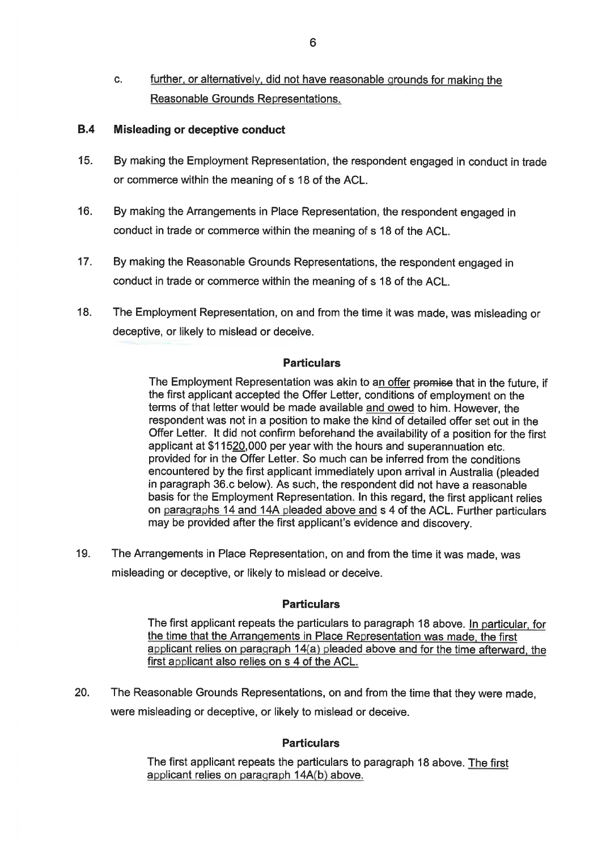$C<sub>1</sub>$ further, or alternatively, did not have reasonable grounds for making the Reasonable Grounds Representations.

#### **B.4** Misleading or deceptive conduct

- $15.$ By making the Employment Representation, the respondent engaged in conduct in trade or commerce within the meaning of s 18 of the ACL.
- $16.$ By making the Arrangements in Place Representation, the respondent engaged in conduct in trade or commerce within the meaning of s 18 of the ACL.
- $17.$ By making the Reasonable Grounds Representations, the respondent engaged in conduct in trade or commerce within the meaning of s 18 of the ACL.
- 18. The Employment Representation, on and from the time it was made, was misleading or deceptive, or likely to mislead or deceive.

### **Particulars**

The Employment Representation was akin to an offer promise that in the future, if the first applicant accepted the Offer Letter, conditions of employment on the terms of that letter would be made available and owed to him. However, the respondent was not in a position to make the kind of detailed offer set out in the Offer Letter. It did not confirm beforehand the availability of a position for the first applicant at \$11520,000 per year with the hours and superannuation etc. provided for in the Offer Letter. So much can be inferred from the conditions encountered by the first applicant immediately upon arrival in Australia (pleaded in paragraph 36.c below). As such, the respondent did not have a reasonable basis for the Employment Representation. In this regard, the first applicant relies on paragraphs 14 and 14A pleaded above and s 4 of the ACL. Further particulars may be provided after the first applicant's evidence and discovery.

The Arrangements in Place Representation, on and from the time it was made, was 19. misleading or deceptive, or likely to mislead or deceive.

### **Particulars**

The first applicant repeats the particulars to paragraph 18 above. In particular, for the time that the Arrangements in Place Representation was made, the first applicant relies on paragraph 14(a) pleaded above and for the time afterward, the first applicant also relies on s 4 of the ACL.

The Reasonable Grounds Representations, on and from the time that they were made, 20. were misleading or deceptive, or likely to mislead or deceive.

### **Particulars**

The first applicant repeats the particulars to paragraph 18 above. The first applicant relies on paragraph 14A(b) above.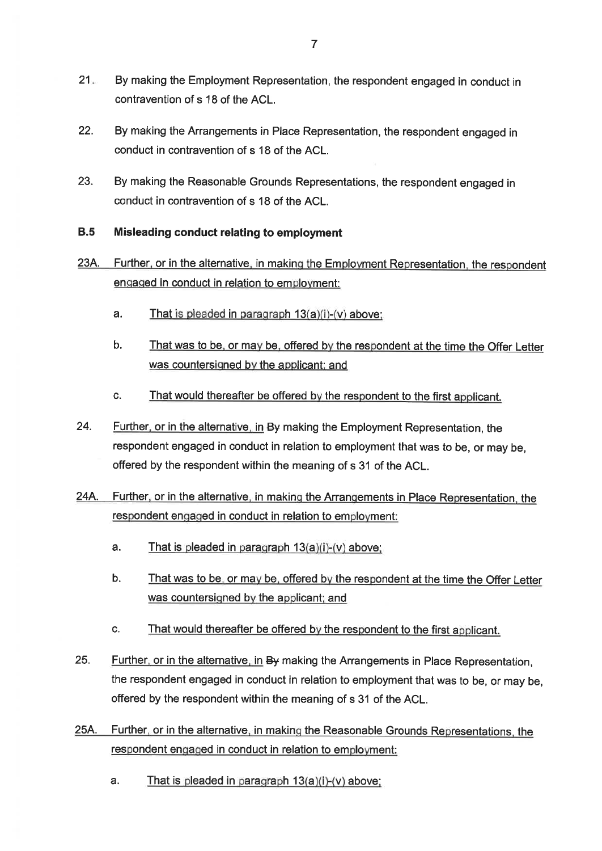- $21 -$ By making the Employment Representation, the respondent engaged in conduct in contravention of s 18 of the ACL.
- $22.$ By making the Arrangements in Place Representation, the respondent engaged in conduct in contravention of s 18 of the ACL.
- 23. By making the Reasonable Grounds Representations, the respondent engaged in conduct in contravention of s 18 of the ACL.

#### $B.5$ Misleading conduct relating to employment

- Further, or in the alternative, in making the Employment Representation, the respondent 23A. engaged in conduct in relation to employment:
	- a. That is pleaded in paragraph  $13(a)(i)-(v)$  above:
	- b. That was to be, or may be, offered by the respondent at the time the Offer Letter was countersigned by the applicant; and
	- That would thereafter be offered by the respondent to the first applicant. C.
- 24. Further, or in the alternative, in By making the Employment Representation, the respondent engaged in conduct in relation to employment that was to be, or may be, offered by the respondent within the meaning of s 31 of the ACL.
- Further, or in the alternative, in making the Arrangements in Place Representation, the 24A. respondent engaged in conduct in relation to employment:
	- a. That is pleaded in paragraph  $13(a)(i)-(v)$  above;
	- $b.$ That was to be, or may be, offered by the respondent at the time the Offer Letter was countersigned by the applicant; and
	- C. That would thereafter be offered by the respondent to the first applicant.
- 25. Further, or in the alternative, in By making the Arrangements in Place Representation. the respondent engaged in conduct in relation to employment that was to be, or may be, offered by the respondent within the meaning of s 31 of the ACL.
- Further, or in the alternative, in making the Reasonable Grounds Representations, the 25A. respondent engaged in conduct in relation to employment:
	- That is pleaded in paragraph 13(a)(i)-(v) above; a.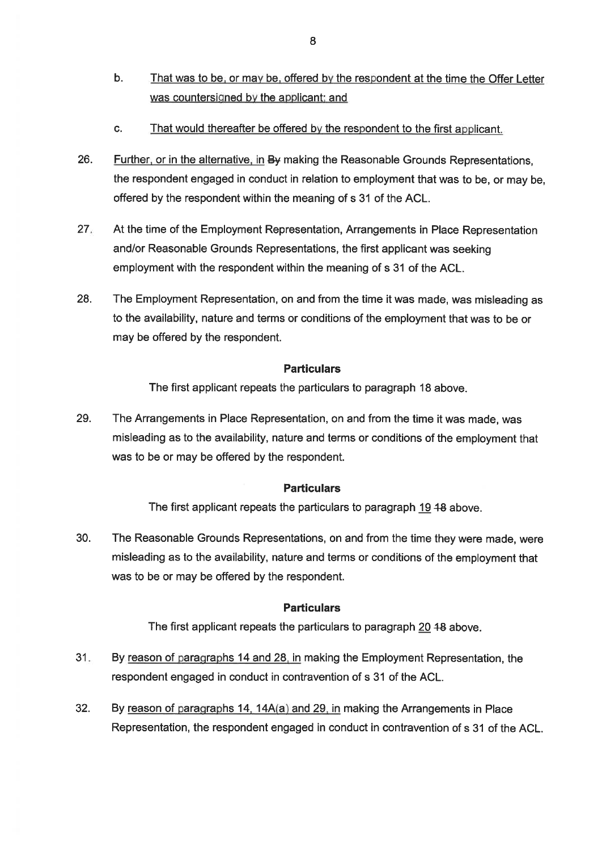- $\mathbf{b}$ . That was to be, or may be, offered by the respondent at the time the Offer Letter was countersigned by the applicant; and
- That would thereafter be offered by the respondent to the first applicant.  $\mathbf{C}$ .
- 26. Further, or in the alternative, in By making the Reasonable Grounds Representations. the respondent engaged in conduct in relation to employment that was to be, or may be. offered by the respondent within the meaning of s 31 of the ACL.
- $27.$ At the time of the Employment Representation, Arrangements in Place Representation and/or Reasonable Grounds Representations, the first applicant was seeking employment with the respondent within the meaning of s 31 of the ACL.
- 28. The Employment Representation, on and from the time it was made, was misleading as to the availability, nature and terms or conditions of the employment that was to be or may be offered by the respondent.

### **Particulars**

The first applicant repeats the particulars to paragraph 18 above.

29. The Arrangements in Place Representation, on and from the time it was made, was misleading as to the availability, nature and terms or conditions of the employment that was to be or may be offered by the respondent.

### **Particulars**

The first applicant repeats the particulars to paragraph 19 48 above.

30. The Reasonable Grounds Representations, on and from the time they were made, were misleading as to the availability, nature and terms or conditions of the employment that was to be or may be offered by the respondent.

### **Particulars**

The first applicant repeats the particulars to paragraph 20 48 above.

- $31.$ By reason of paragraphs 14 and 28, in making the Employment Representation, the respondent engaged in conduct in contravention of s 31 of the ACL.
- $32.$ By reason of paragraphs 14, 14A(a) and 29, in making the Arrangements in Place Representation, the respondent engaged in conduct in contravention of s 31 of the ACL.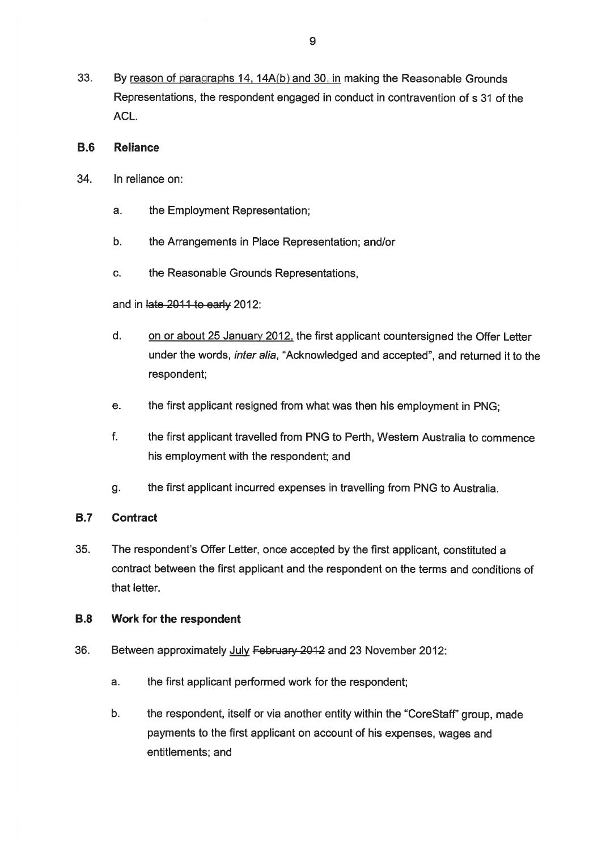33. By reason of paragraphs 14, 14A(b) and 30, in making the Reasonable Grounds Representations, the respondent engaged in conduct in contravention of s 31 of the ACL.

#### $B.6$ **Reliance**

- 34. In reliance on:
	- a. the Employment Representation;
	- $b.$ the Arrangements in Place Representation; and/or
	- C. the Reasonable Grounds Representations,

and in late 2011 to early 2012:

- $d_{-}$ on or about 25 January 2012, the first applicant countersigned the Offer Letter under the words, inter alia, "Acknowledged and accepted", and returned it to the respondent;
- e. the first applicant resigned from what was then his employment in PNG;
- f. the first applicant travelled from PNG to Perth, Western Australia to commence his employment with the respondent; and
- the first applicant incurred expenses in travelling from PNG to Australia. g.

#### **B.7 Contract**

35. The respondent's Offer Letter, once accepted by the first applicant, constituted a contract between the first applicant and the respondent on the terms and conditions of that letter.

#### **B.8** Work for the respondent

- 36. Between approximately July February 2012 and 23 November 2012:
	- a. the first applicant performed work for the respondent;
	- b. the respondent, itself or via another entity within the "CoreStaff" group, made payments to the first applicant on account of his expenses, wages and entitlements; and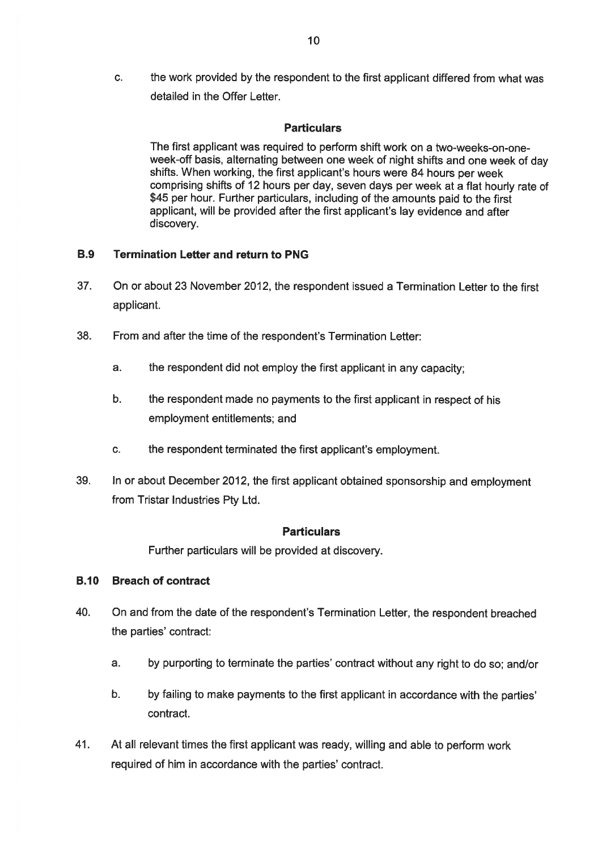$\overline{c}$ . the work provided by the respondent to the first applicant differed from what was detailed in the Offer Letter.

### **Particulars**

The first applicant was required to perform shift work on a two-weeks-on-oneweek-off basis, alternating between one week of night shifts and one week of day shifts. When working, the first applicant's hours were 84 hours per week comprising shifts of 12 hours per day, seven days per week at a flat hourly rate of \$45 per hour. Further particulars, including of the amounts paid to the first applicant, will be provided after the first applicant's lay evidence and after discovery.

#### **Termination Letter and return to PNG B.9**

- 37. On or about 23 November 2012, the respondent issued a Termination Letter to the first applicant.
- 38 From and after the time of the respondent's Termination Letter:
	- a. the respondent did not employ the first applicant in any capacity:
	- $b.$ the respondent made no payments to the first applicant in respect of his employment entitlements; and
	- the respondent terminated the first applicant's employment. C.
- 39. In or about December 2012, the first applicant obtained sponsorship and employment from Tristar Industries Ptv Ltd.

### **Particulars**

Further particulars will be provided at discovery.

### **B.10 Breach of contract**

- 40. On and from the date of the respondent's Termination Letter, the respondent breached the parties' contract:
	- $a<sub>z</sub>$ by purporting to terminate the parties' contract without any right to do so; and/or
	- $b.$ by failing to make payments to the first applicant in accordance with the parties' contract.
- 41. At all relevant times the first applicant was ready, willing and able to perform work required of him in accordance with the parties' contract.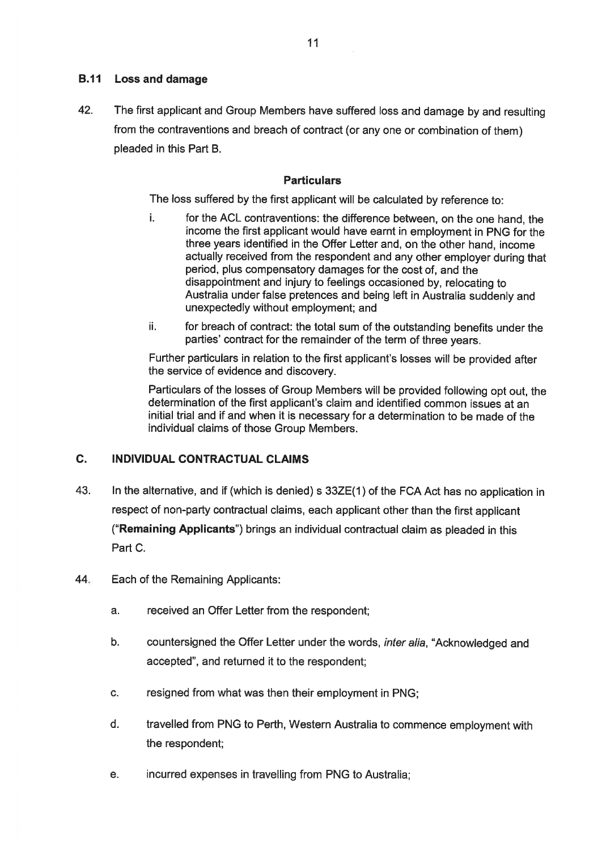### **B.11** Loss and damage

42. The first applicant and Group Members have suffered loss and damage by and resulting from the contraventions and breach of contract (or any one or combination of them) pleaded in this Part B.

### **Particulars**

The loss suffered by the first applicant will be calculated by reference to:

- for the ACL contraventions: the difference between, on the one hand, the i. income the first applicant would have earnt in employment in PNG for the three years identified in the Offer Letter and, on the other hand, income actually received from the respondent and any other employer during that period, plus compensatory damages for the cost of, and the disappointment and injury to feelings occasioned by, relocating to Australia under false pretences and being left in Australia suddenly and unexpectedly without employment; and
- for breach of contract: the total sum of the outstanding benefits under the ii. parties' contract for the remainder of the term of three years.

Further particulars in relation to the first applicant's losses will be provided after the service of evidence and discovery.

Particulars of the losses of Group Members will be provided following opt out, the determination of the first applicant's claim and identified common issues at an initial trial and if and when it is necessary for a determination to be made of the individual claims of those Group Members.

#### C. **INDIVIDUAL CONTRACTUAL CLAIMS**

- In the alternative, and if (which is denied) s 33ZE(1) of the FCA Act has no application in 43. respect of non-party contractual claims, each applicant other than the first applicant ("Remaining Applicants") brings an individual contractual claim as pleaded in this Part C.
- 44. Each of the Remaining Applicants:
	- $a<sub>1</sub>$ received an Offer Letter from the respondent;
	- countersigned the Offer Letter under the words, inter alia, "Acknowledged and  $b.$ accepted", and returned it to the respondent;
	- C. resigned from what was then their employment in PNG;
	- d. travelled from PNG to Perth, Western Australia to commence employment with the respondent;
	- incurred expenses in travelling from PNG to Australia; е.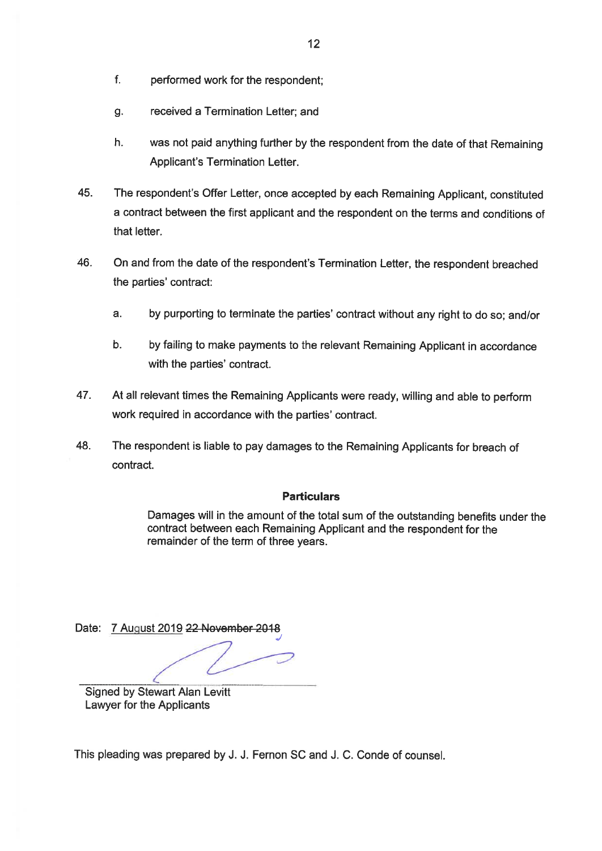- $f_{\rm{L}}$ performed work for the respondent;
- received a Termination Letter; and g.
- $h$ . was not paid anything further by the respondent from the date of that Remaining Applicant's Termination Letter.
- 45. The respondent's Offer Letter, once accepted by each Remaining Applicant, constituted a contract between the first applicant and the respondent on the terms and conditions of that letter.
- 46. On and from the date of the respondent's Termination Letter, the respondent breached the parties' contract:
	- $a<sub>z</sub>$ by purporting to terminate the parties' contract without any right to do so: and/or
	- by failing to make payments to the relevant Remaining Applicant in accordance **.** with the parties' contract.
- 47. At all relevant times the Remaining Applicants were ready, willing and able to perform work required in accordance with the parties' contract.
- 48. The respondent is liable to pay damages to the Remaining Applicants for breach of contract.

### **Particulars**

Damages will in the amount of the total sum of the outstanding benefits under the contract between each Remaining Applicant and the respondent for the remainder of the term of three years.

Date: 7 August 2019 22 November 2018

**Signed by Stewart Alan Levitt** Lawyer for the Applicants

This pleading was prepared by J. J. Fernon SC and J. C. Conde of counsel.